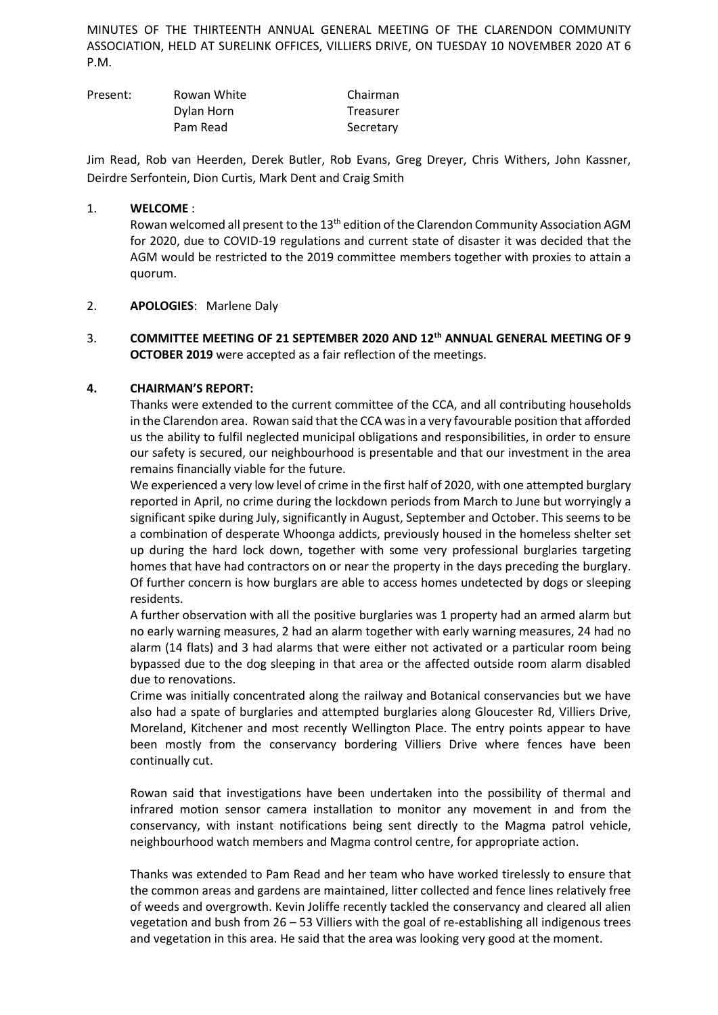MINUTES OF THE THIRTEENTH ANNUAL GENERAL MEETING OF THE CLARENDON COMMUNITY ASSOCIATION, HELD AT SURELINK OFFICES, VILLIERS DRIVE, ON TUESDAY 10 NOVEMBER 2020 AT 6 P.M.

| Present: | Rowan White | Chairman  |
|----------|-------------|-----------|
|          | Dylan Horn  | Treasurer |
|          | Pam Read    | Secretary |

Jim Read, Rob van Heerden, Derek Butler, Rob Evans, Greg Dreyer, Chris Withers, John Kassner, Deirdre Serfontein, Dion Curtis, Mark Dent and Craig Smith

### 1. **WELCOME** :

Rowan welcomed all present to the 13<sup>th</sup> edition of the Clarendon Community Association AGM for 2020, due to COVID-19 regulations and current state of disaster it was decided that the AGM would be restricted to the 2019 committee members together with proxies to attain a quorum.

### 2. **APOLOGIES**: Marlene Daly

## 3. **COMMITTEE MEETING OF 21 SEPTEMBER 2020 AND 12th ANNUAL GENERAL MEETING OF 9 OCTOBER 2019** were accepted as a fair reflection of the meetings.

### **4. CHAIRMAN'S REPORT:**

Thanks were extended to the current committee of the CCA, and all contributing households in the Clarendon area. Rowan said that the CCA was in a very favourable position that afforded us the ability to fulfil neglected municipal obligations and responsibilities, in order to ensure our safety is secured, our neighbourhood is presentable and that our investment in the area remains financially viable for the future.

We experienced a very low level of crime in the first half of 2020, with one attempted burglary reported in April, no crime during the lockdown periods from March to June but worryingly a significant spike during July, significantly in August, September and October. This seems to be a combination of desperate Whoonga addicts, previously housed in the homeless shelter set up during the hard lock down, together with some very professional burglaries targeting homes that have had contractors on or near the property in the days preceding the burglary. Of further concern is how burglars are able to access homes undetected by dogs or sleeping residents.

A further observation with all the positive burglaries was 1 property had an armed alarm but no early warning measures, 2 had an alarm together with early warning measures, 24 had no alarm (14 flats) and 3 had alarms that were either not activated or a particular room being bypassed due to the dog sleeping in that area or the affected outside room alarm disabled due to renovations.

Crime was initially concentrated along the railway and Botanical conservancies but we have also had a spate of burglaries and attempted burglaries along Gloucester Rd, Villiers Drive, Moreland, Kitchener and most recently Wellington Place. The entry points appear to have been mostly from the conservancy bordering Villiers Drive where fences have been continually cut.

Rowan said that investigations have been undertaken into the possibility of thermal and infrared motion sensor camera installation to monitor any movement in and from the conservancy, with instant notifications being sent directly to the Magma patrol vehicle, neighbourhood watch members and Magma control centre, for appropriate action.

Thanks was extended to Pam Read and her team who have worked tirelessly to ensure that the common areas and gardens are maintained, litter collected and fence lines relatively free of weeds and overgrowth. Kevin Joliffe recently tackled the conservancy and cleared all alien vegetation and bush from 26 – 53 Villiers with the goal of re-establishing all indigenous trees and vegetation in this area. He said that the area was looking very good at the moment.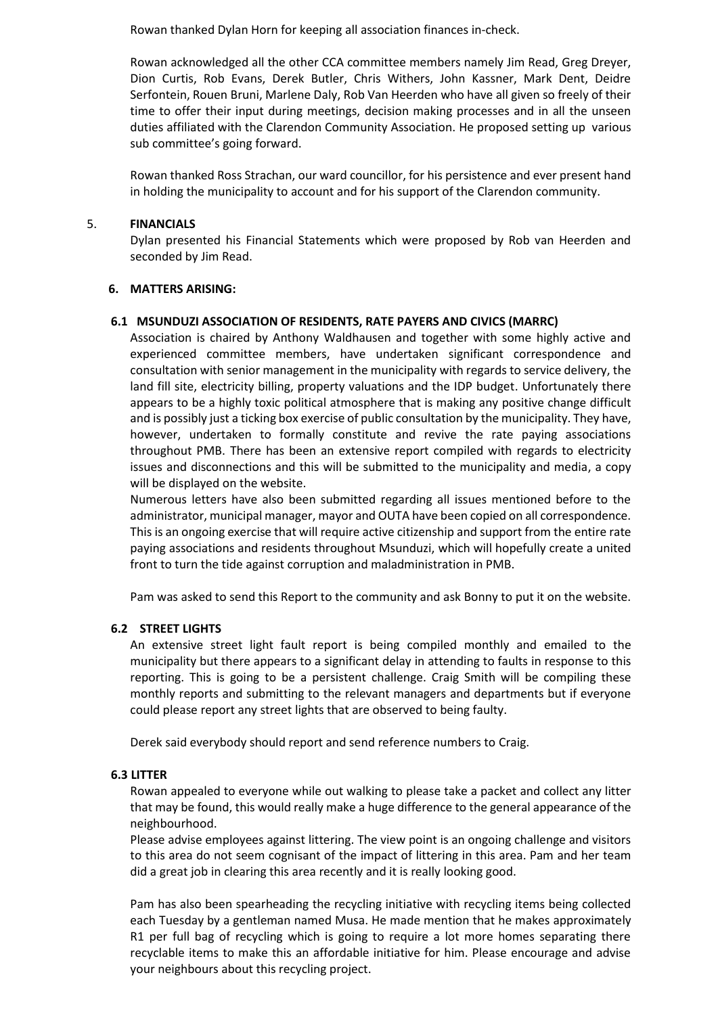Rowan thanked Dylan Horn for keeping all association finances in-check.

Rowan acknowledged all the other CCA committee members namely Jim Read, Greg Dreyer, Dion Curtis, Rob Evans, Derek Butler, Chris Withers, John Kassner, Mark Dent, Deidre Serfontein, Rouen Bruni, Marlene Daly, Rob Van Heerden who have all given so freely of their time to offer their input during meetings, decision making processes and in all the unseen duties affiliated with the Clarendon Community Association. He proposed setting up various sub committee's going forward.

Rowan thanked Ross Strachan, our ward councillor, for his persistence and ever present hand in holding the municipality to account and for his support of the Clarendon community.

### 5. **FINANCIALS**

Dylan presented his Financial Statements which were proposed by Rob van Heerden and seconded by Jim Read.

#### **6. MATTERS ARISING:**

### **6.1 MSUNDUZI ASSOCIATION OF RESIDENTS, RATE PAYERS AND CIVICS (MARRC)**

Association is chaired by Anthony Waldhausen and together with some highly active and experienced committee members, have undertaken significant correspondence and consultation with senior management in the municipality with regards to service delivery, the land fill site, electricity billing, property valuations and the IDP budget. Unfortunately there appears to be a highly toxic political atmosphere that is making any positive change difficult and is possibly just a ticking box exercise of public consultation by the municipality. They have, however, undertaken to formally constitute and revive the rate paying associations throughout PMB. There has been an extensive report compiled with regards to electricity issues and disconnections and this will be submitted to the municipality and media, a copy will be displayed on the website.

Numerous letters have also been submitted regarding all issues mentioned before to the administrator, municipal manager, mayor and OUTA have been copied on all correspondence. This is an ongoing exercise that will require active citizenship and support from the entire rate paying associations and residents throughout Msunduzi, which will hopefully create a united front to turn the tide against corruption and maladministration in PMB.

Pam was asked to send this Report to the community and ask Bonny to put it on the website.

### **6.2 STREET LIGHTS**

An extensive street light fault report is being compiled monthly and emailed to the municipality but there appears to a significant delay in attending to faults in response to this reporting. This is going to be a persistent challenge. Craig Smith will be compiling these monthly reports and submitting to the relevant managers and departments but if everyone could please report any street lights that are observed to being faulty.

Derek said everybody should report and send reference numbers to Craig.

#### **6.3 LITTER**

Rowan appealed to everyone while out walking to please take a packet and collect any litter that may be found, this would really make a huge difference to the general appearance of the neighbourhood.

Please advise employees against littering. The view point is an ongoing challenge and visitors to this area do not seem cognisant of the impact of littering in this area. Pam and her team did a great job in clearing this area recently and it is really looking good.

Pam has also been spearheading the recycling initiative with recycling items being collected each Tuesday by a gentleman named Musa. He made mention that he makes approximately R1 per full bag of recycling which is going to require a lot more homes separating there recyclable items to make this an affordable initiative for him. Please encourage and advise your neighbours about this recycling project.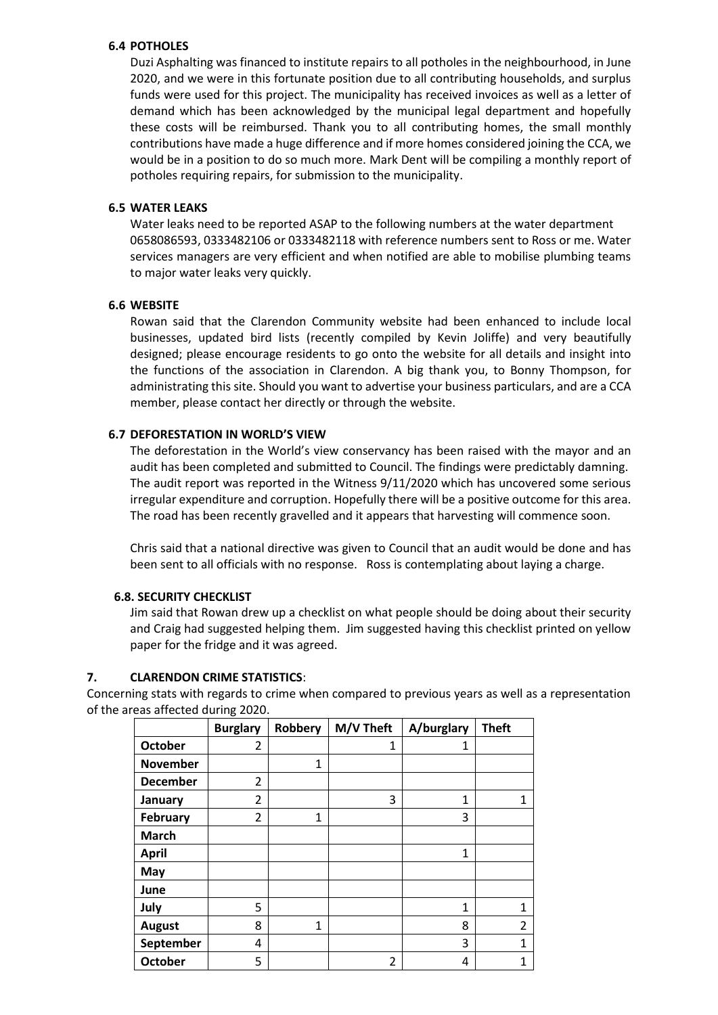## **6.4 POTHOLES**

Duzi Asphalting was financed to institute repairs to all potholes in the neighbourhood, in June 2020, and we were in this fortunate position due to all contributing households, and surplus funds were used for this project. The municipality has received invoices as well as a letter of demand which has been acknowledged by the municipal legal department and hopefully these costs will be reimbursed. Thank you to all contributing homes, the small monthly contributions have made a huge difference and if more homes considered joining the CCA, we would be in a position to do so much more. Mark Dent will be compiling a monthly report of potholes requiring repairs, for submission to the municipality.

### **6.5 WATER LEAKS**

Water leaks need to be reported ASAP to the following numbers at the water department 0658086593, 0333482106 or 0333482118 with reference numbers sent to Ross or me. Water services managers are very efficient and when notified are able to mobilise plumbing teams to major water leaks very quickly.

## **6.6 WEBSITE**

Rowan said that the Clarendon Community website had been enhanced to include local businesses, updated bird lists (recently compiled by Kevin Joliffe) and very beautifully designed; please encourage residents to go onto the website for all details and insight into the functions of the association in Clarendon. A big thank you, to Bonny Thompson, for administrating this site. Should you want to advertise your business particulars, and are a CCA member, please contact her directly or through the website.

## **6.7 DEFORESTATION IN WORLD'S VIEW**

The deforestation in the World's view conservancy has been raised with the mayor and an audit has been completed and submitted to Council. The findings were predictably damning. The audit report was reported in the Witness 9/11/2020 which has uncovered some serious irregular expenditure and corruption. Hopefully there will be a positive outcome for this area. The road has been recently gravelled and it appears that harvesting will commence soon.

Chris said that a national directive was given to Council that an audit would be done and has been sent to all officials with no response. Ross is contemplating about laying a charge.

### **6.8. SECURITY CHECKLIST**

Jim said that Rowan drew up a checklist on what people should be doing about their security and Craig had suggested helping them. Jim suggested having this checklist printed on yellow paper for the fridge and it was agreed.

### **7. CLARENDON CRIME STATISTICS**:

Concerning stats with regards to crime when compared to previous years as well as a representation of the areas affected during 2020.

|                 | <b>Burglary</b> | Robbery      | M/V Theft      | A/burglary | <b>Theft</b>   |
|-----------------|-----------------|--------------|----------------|------------|----------------|
| <b>October</b>  | $\overline{2}$  |              | 1              | 1          |                |
| <b>November</b> |                 | 1            |                |            |                |
| <b>December</b> | $\overline{2}$  |              |                |            |                |
| January         | $\overline{2}$  |              | 3              | 1          | 1              |
| <b>February</b> | $\overline{2}$  | 1            |                | 3          |                |
| <b>March</b>    |                 |              |                |            |                |
| <b>April</b>    |                 |              |                | 1          |                |
| May             |                 |              |                |            |                |
| June            |                 |              |                |            |                |
| July            | 5               |              |                | 1          | $\mathbf{1}$   |
| <b>August</b>   | 8               | $\mathbf{1}$ |                | 8          | $\overline{2}$ |
| September       | 4               |              |                | 3          | 1              |
| <b>October</b>  | 5               |              | $\overline{2}$ | 4          | $\mathbf 1$    |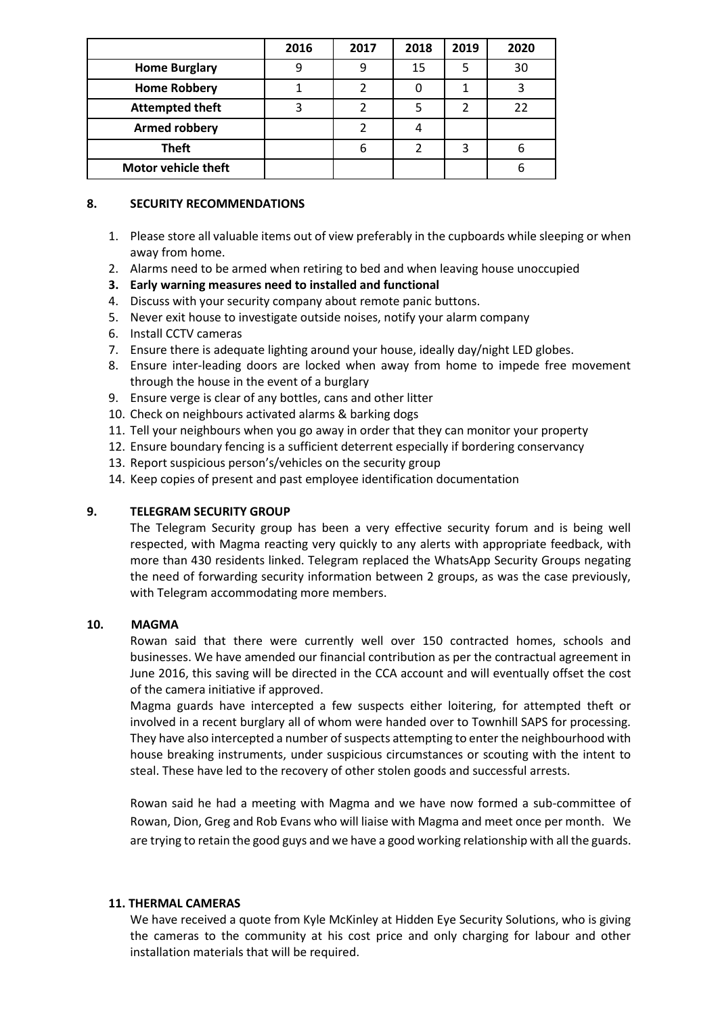|                            | 2016 | 2017 | 2018 | 2019 | 2020 |
|----------------------------|------|------|------|------|------|
| <b>Home Burglary</b>       |      |      | 15   | 5    | 30   |
| <b>Home Robbery</b>        |      | 7    |      |      |      |
| <b>Attempted theft</b>     |      |      |      | 2    |      |
| <b>Armed robbery</b>       |      |      |      |      |      |
| <b>Theft</b>               |      | 6    |      | 3    |      |
| <b>Motor vehicle theft</b> |      |      |      |      |      |

### **8. SECURITY RECOMMENDATIONS**

- 1. Please store all valuable items out of view preferably in the cupboards while sleeping or when away from home.
- 2. Alarms need to be armed when retiring to bed and when leaving house unoccupied
- **3. Early warning measures need to installed and functional**
- 4. Discuss with your security company about remote panic buttons.
- 5. Never exit house to investigate outside noises, notify your alarm company
- 6. Install CCTV cameras
- 7. Ensure there is adequate lighting around your house, ideally day/night LED globes.
- 8. Ensure inter-leading doors are locked when away from home to impede free movement through the house in the event of a burglary
- 9. Ensure verge is clear of any bottles, cans and other litter
- 10. Check on neighbours activated alarms & barking dogs
- 11. Tell your neighbours when you go away in order that they can monitor your property
- 12. Ensure boundary fencing is a sufficient deterrent especially if bordering conservancy
- 13. Report suspicious person's/vehicles on the security group
- 14. Keep copies of present and past employee identification documentation

# **9. TELEGRAM SECURITY GROUP**

The Telegram Security group has been a very effective security forum and is being well respected, with Magma reacting very quickly to any alerts with appropriate feedback, with more than 430 residents linked. Telegram replaced the WhatsApp Security Groups negating the need of forwarding security information between 2 groups, as was the case previously, with Telegram accommodating more members.

### **10. MAGMA**

Rowan said that there were currently well over 150 contracted homes, schools and businesses. We have amended our financial contribution as per the contractual agreement in June 2016, this saving will be directed in the CCA account and will eventually offset the cost of the camera initiative if approved.

Magma guards have intercepted a few suspects either loitering, for attempted theft or involved in a recent burglary all of whom were handed over to Townhill SAPS for processing. They have also intercepted a number of suspects attempting to enter the neighbourhood with house breaking instruments, under suspicious circumstances or scouting with the intent to steal. These have led to the recovery of other stolen goods and successful arrests.

Rowan said he had a meeting with Magma and we have now formed a sub-committee of Rowan, Dion, Greg and Rob Evans who will liaise with Magma and meet once per month. We are trying to retain the good guys and we have a good working relationship with all the guards.

# **11. THERMAL CAMERAS**

We have received a quote from Kyle McKinley at Hidden Eye Security Solutions, who is giving the cameras to the community at his cost price and only charging for labour and other installation materials that will be required.